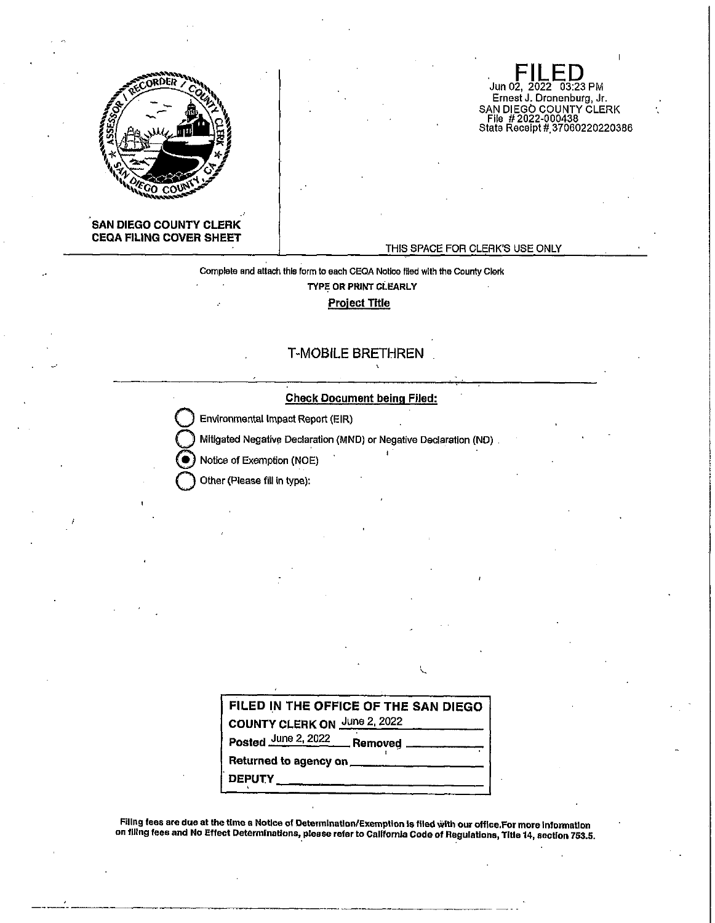

Jun 02, 2022 03:23 PM Ernest J. Dronenburg, Jr. SAN DIEGO COUNTY CLERK<br>|- File||# 2022-000438<br>|State Receipt||#,37060220220386

## **SAN DIEGO COUNTY CLERK CEQA FILING COVER SHEET**

#### THIS SPACE FOR CLERK'S USE ONLY

Complete and attach this form to each CEQA Notice filed with the County Clerk **TYPE OR PRINT Ci.EARLY Project Title** 

## T-MOBILE BRETHREN

#### **Check Document being Filed:**

**Environmental Impact Report (EIR)** 

**Q** Mitigated Negative Declaration (MND) or Negative Declaration (ND) .

 $\bullet$  Notice of Exemption (NOE)

**Q** Other (Please fill In type):

|                                   | FILED IN THE OFFICE OF THE SAN DIEGO |  |  |  |  |
|-----------------------------------|--------------------------------------|--|--|--|--|
|                                   | COUNTY CLERK ON June 2, 2022         |  |  |  |  |
|                                   | Posted June 2, 2022 Removed          |  |  |  |  |
|                                   |                                      |  |  |  |  |
| <b>DEPUTY</b> ___________________ |                                      |  |  |  |  |

U

Fillng fees are due at the time a Notice of Detertnlnatlon/Exemption Is filed With our office.For more information on filing fees and No Effect Determinations, please refer to California Code of hegulatlons, Title 14, section 753.5.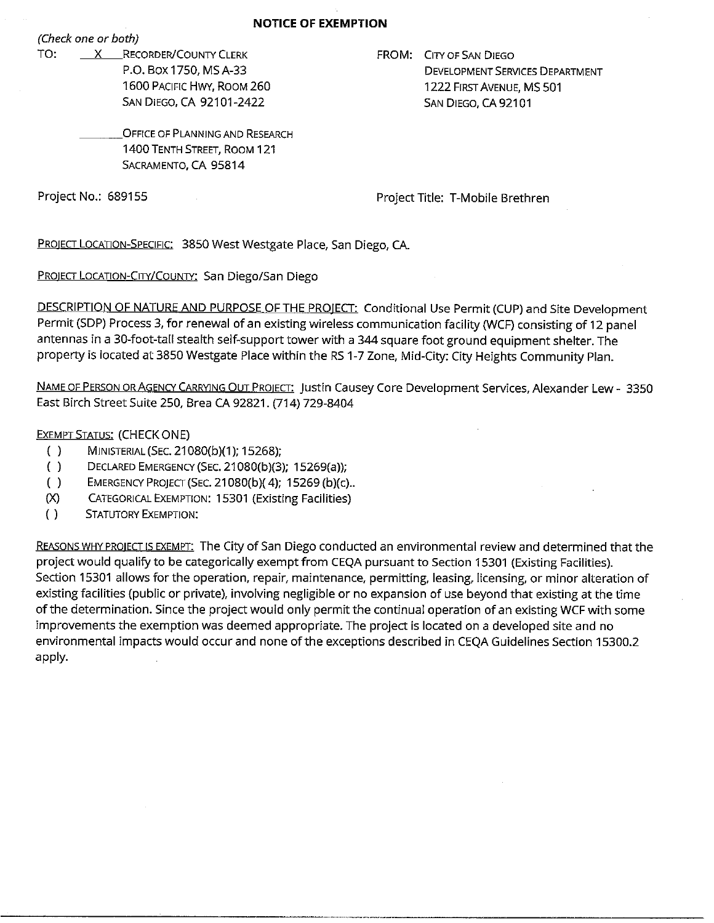#### **NOTICE OF EXEMPTION**

*(Check one or both)* 

TO: X RECORDER/COUNTY CLERK P.O. Box 1750, MS A-33 1600 PACIFIC HWY, ROOM 260 SAN DIEGO, CA 92101-2422

FROM: CITY OF SAN DIEGO DEVELOPMENT SERVICES DEPARTMENT 1222 FIRST AVENUE, MS 501 SAN DIEGO, CA 92101

OFFICE OF PLANNING AND RESEARCH 1400 TENTH STREET, ROOM 121 SACRAMENTO, CA 95814

Project No.: 689155 Project Title: T-Mobile Brethren

PROJECT LOCATION-SPECIFIC: 3850 West Westgate Place, San Diego, CA.

PROIECT LOCATION-CITY/COUNTY: San Diego/San Diego

DESCRIPTION OF NATURE AND PURPOSE OF THE PROJECT: Conditional Use Permit (CUP) and Site Development Permit (SDP) Process 3, for renewal of an existing wireless communication facility (WCF) consisting of 12 panel antennas in a 30-foot-tall stealth self-support tower with a 344 square foot ground equipment shelter. The property is located at 3850 Westgate Place within the RS 1-7 Zone, Mid-City: City Heights Community Plan.

NAME OF PERSON OR AGENCY CARRYING OUT PROIECT: Justin Causey Core Development Services, Alexander Lew- 3350 East Birch Street Suite 250, Brea CA 92821. (714) 729-8404

# **EXEMPT STATUS: (CHECK ONE)**

- ( ) MINISTERIAL (SEC. 21080(b)(1 ); 15268);
- ( ) DECLARED EMERGENCY (SEC. 21080(b)(3); 15269(a));
- ( ) EMERGENCY PROJECT (SEC. 21080(b)( 4); 15269 (b)(c) ..
- (X) CATEGORICAL EXEMPTION: 15301 (Existing Facilities)
- ( ) STATUTORY ExEMPTION:

REASONS WHY PROIECT Is EXEMPT: The City of San Diego conducted an environmental review and determined that the project would qualify to be categorically exempt from CEQA pursuant to Section 15301 (Existing Facilities). Section 15301 allows for the operation, repair, maintenance, permitting, leasing, licensing, or minor alteration of existing facilities (public or private), involving negligible or no expansion of use beyond that existing at the time of the determination. Since the project would only permit the continual operation of an existing WCF with some improvements the exemption was deemed appropriate. The project is located on a developed site and no environmental impacts would occur and none of the exceptions described in CEQA Guidelines Section 15300.2 apply.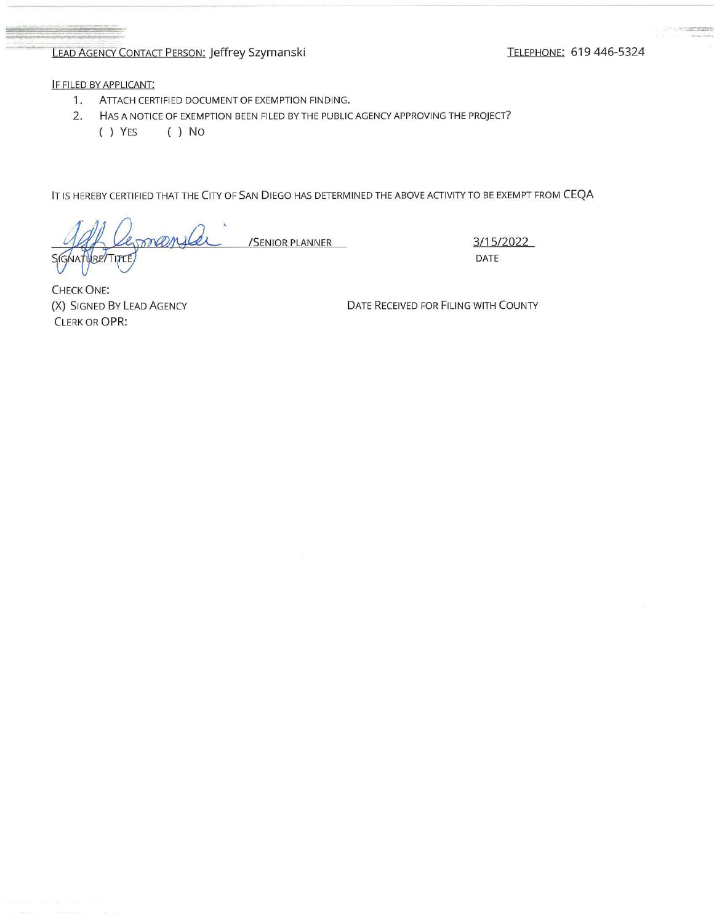# LEAD AGENCY CONTACT PERSON: Jeffrey Szymanski TELEPHONE: 619 446-5324

IF FILED BY APPLICANT:

- 1. ATTACH CERTIFIED DOCUMENT OF EXEMPTION FINDING.
- 2. HAS A NOTICE OF EXEMPTION BEEN FILED BY THE PUBLIC AGENCY APPROVING THE PROJECT?
	- ( ) YES ( ) No

IT IS HEREBY CERTIFIED THAT THE CITY OF SAN DIEGO HAS DETERMINED THE ABOVE ACTIVITY TO BE EXEMPT FROM CEQA

/SENIOR PLANNER 2/15/2022 **RETTITLE** 

DATE

CHECK ONE: (X) SIGNED BY LEAD AGENCY CLERK OR OPR:

DATE RECEIVED FOR FILING WITH COUNTY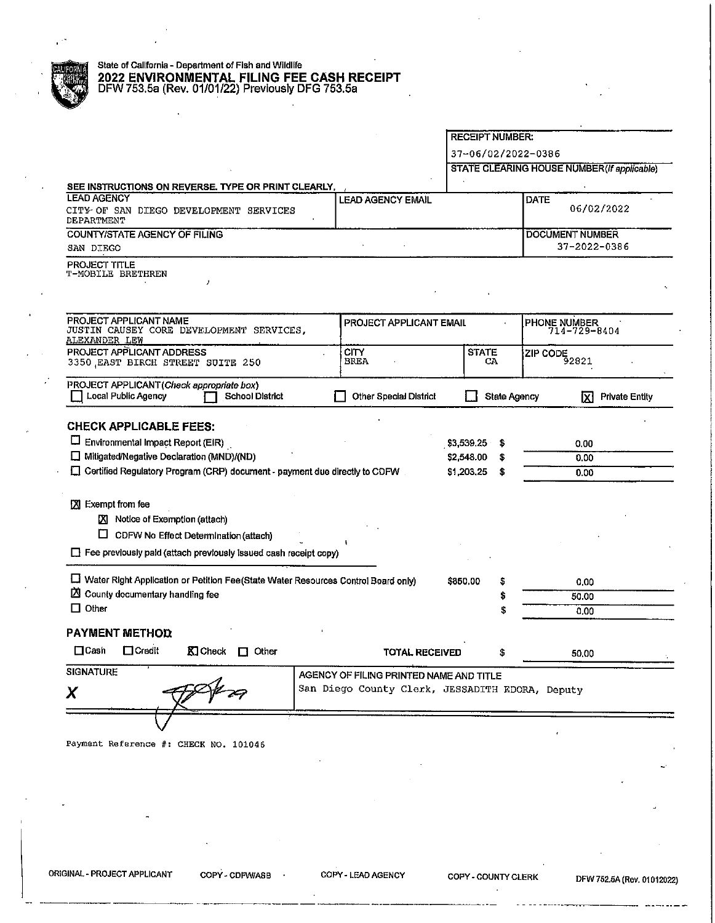# **BAUDRIM** State of California - Department of Fish and Wildlife 2022 ENVIRONMENTAL FILING FEE<br>DFW 753.5a (Rev. 01/01/22) Previously D<br>DFW 753.5a (Rev. 01/01/22) Previously D . **2022 ENVIRONMENTAL FILING FEE CASH RECEIPT**  DFW753.5a (Rev. 01/01/22) Previously DFG 753.5a

|                                                                                                                             | <b>RECEIPT NUMBER:</b>  |              |                                             |                              |  |
|-----------------------------------------------------------------------------------------------------------------------------|-------------------------|--------------|---------------------------------------------|------------------------------|--|
|                                                                                                                             |                         |              | 37-06/02/2022-0386                          |                              |  |
|                                                                                                                             |                         |              | STATE CLEARING HOUSE NUMBER (If applicable) |                              |  |
| SEE INSTRUCTIONS ON REVERSE. TYPE OR PRINT CLEARLY,                                                                         |                         |              |                                             |                              |  |
| <b>LEAD AGENCY</b><br><b>LEAD AGENCY EMAIL</b><br>CITY OF SAN DIEGO DEVELOPMENT SERVICES<br>DEPARTMENT                      |                         |              | <b>DATE</b>                                 | 06/02/2022                   |  |
| <b>COUNTY/STATE AGENCY OF FILING</b>                                                                                        |                         |              | <b>DOCUMENT NUMBER</b>                      |                              |  |
| SAN DIEGO                                                                                                                   |                         |              |                                             | 37-2022-0386                 |  |
| PROJECT TITLE<br>T-MOBILE BRETHREN<br>,                                                                                     |                         |              |                                             |                              |  |
| PROJECT APPLICANT NAME<br>JUSTIN CAUSEY CORE DEVELOPMENT SERVICES,<br>ALEXANDER LEW                                         | PROJECT APPLICANT EMAIL |              |                                             | PHONE NUMBER<br>714-729-8404 |  |
| PROJECT APPLICANT ADDRESS<br><b>CITY</b><br>BREA<br>3350 EAST BIRCH STREET SUITE 250                                        | <b>STATE</b>            | CA           | ZIP CODE<br>92821                           |                              |  |
| PROJECT APPLICANT (Check appropriate box)<br>Local Public Agency<br><b>School District</b><br><b>Other Special District</b> |                         | State Agency | Ixl                                         | <b>Private Entity</b>        |  |
| <b>CHECK APPLICABLE FEES:</b>                                                                                               |                         |              |                                             |                              |  |
| Environmental Impact Report (EIR)                                                                                           | \$3,539.25              | s            | 0.00                                        |                              |  |
| Mitigated/Negative Declaration (MND)/(ND)                                                                                   | S                       | 0.00         |                                             |                              |  |
| \$2,548.00<br>□ Certified Regulatory Program (CRP) document - payment due directly to CDFW<br>\$1,203.25                    |                         |              | 0.00                                        |                              |  |
|                                                                                                                             |                         |              |                                             |                              |  |
| X Exempt from fee                                                                                                           |                         |              |                                             |                              |  |
| X Notice of Exemption (attach)                                                                                              |                         |              |                                             |                              |  |
| $\Box$ CDFW No Effect Determination (attach)                                                                                |                         |              |                                             |                              |  |
| $\Box$ Fee previously paid (attach previously issued cash receipt copy)                                                     |                         |              |                                             |                              |  |
|                                                                                                                             |                         |              |                                             |                              |  |
| E Water Right Application or Petition Fee(State Water Resources Control Board only)                                         | \$850,00                | 5            | 0.00                                        |                              |  |
| ⊠<br>County documentary handling fee                                                                                        |                         | 50.00        |                                             |                              |  |
| $\Box$ Other                                                                                                                |                         |              | 0.00                                        |                              |  |
| <b>PAYMENT METHOD</b>                                                                                                       |                         |              |                                             |                              |  |
| $\Box$ Credit<br>$\Box$ Cash<br>Kicheck □ Other<br><b>TOTAL RECEIVED</b>                                                    |                         | S            | 50.00                                       |                              |  |
|                                                                                                                             |                         |              |                                             |                              |  |
|                                                                                                                             |                         |              |                                             |                              |  |
| SIGNATURE<br>AGENCY OF FILING PRINTED NAME AND TITLE                                                                        |                         |              |                                             |                              |  |
| San Diego County Clerk, JESSADITH EDORA, Deputy<br>X                                                                        |                         |              |                                             |                              |  |

Payment Reference #: CHECK NO, 101046

ORIGINAL· PROJECT APPLICANT COPY· CDFW/ASB COPY· LEAD AGENCY COPY· COUNTY CLERK DFW 752,5A (Rev, 01012022)